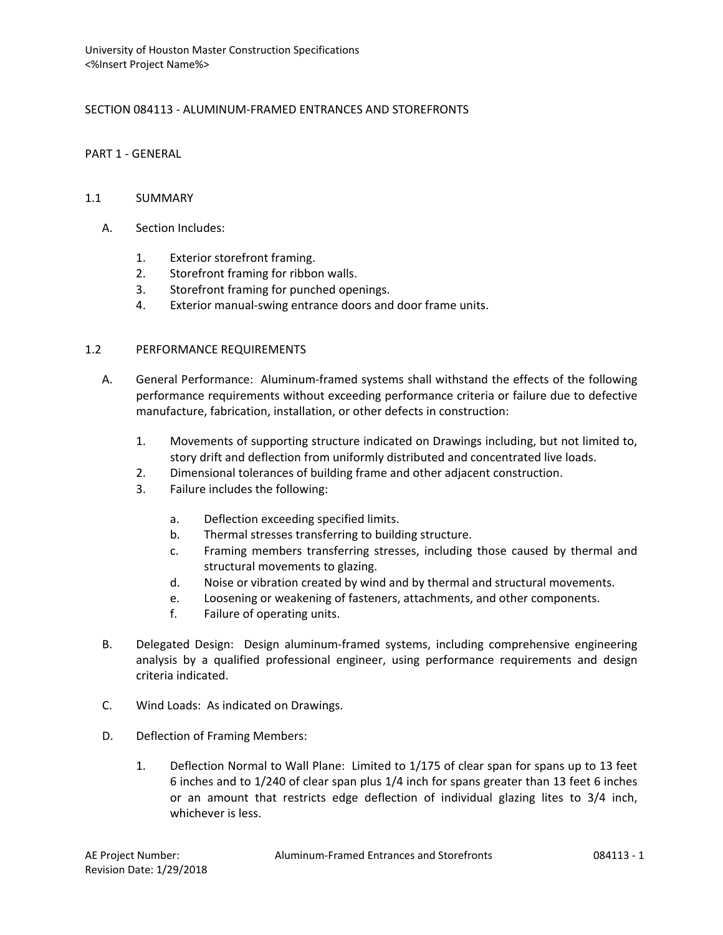# SECTION 084113 - ALUMINUM-FRAMED ENTRANCES AND STOREFRONTS

## PART 1 - GENERAL

## 1.1 SUMMARY

- A. Section Includes:
	- 1. Exterior storefront framing.
	- 2. Storefront framing for ribbon walls.
	- 3. Storefront framing for punched openings.
	- 4. Exterior manual-swing entrance doors and door frame units.

## 1.2 PERFORMANCE REQUIREMENTS

- A. General Performance: Aluminum-framed systems shall withstand the effects of the following performance requirements without exceeding performance criteria or failure due to defective manufacture, fabrication, installation, or other defects in construction:
	- 1. Movements of supporting structure indicated on Drawings including, but not limited to, story drift and deflection from uniformly distributed and concentrated live loads.
	- 2. Dimensional tolerances of building frame and other adjacent construction.
	- 3. Failure includes the following:
		- a. Deflection exceeding specified limits.
		- b. Thermal stresses transferring to building structure.
		- c. Framing members transferring stresses, including those caused by thermal and structural movements to glazing.
		- d. Noise or vibration created by wind and by thermal and structural movements.
		- e. Loosening or weakening of fasteners, attachments, and other components.
		- f. Failure of operating units.
- B. Delegated Design: Design aluminum-framed systems, including comprehensive engineering analysis by a qualified professional engineer, using performance requirements and design criteria indicated.
- C. Wind Loads: As indicated on Drawings.
- D. Deflection of Framing Members:
	- 1. Deflection Normal to Wall Plane: Limited to 1/175 of clear span for spans up to 13 feet 6 inches and to 1/240 of clear span plus 1/4 inch for spans greater than 13 feet 6 inches or an amount that restricts edge deflection of individual glazing lites to 3/4 inch, whichever is less.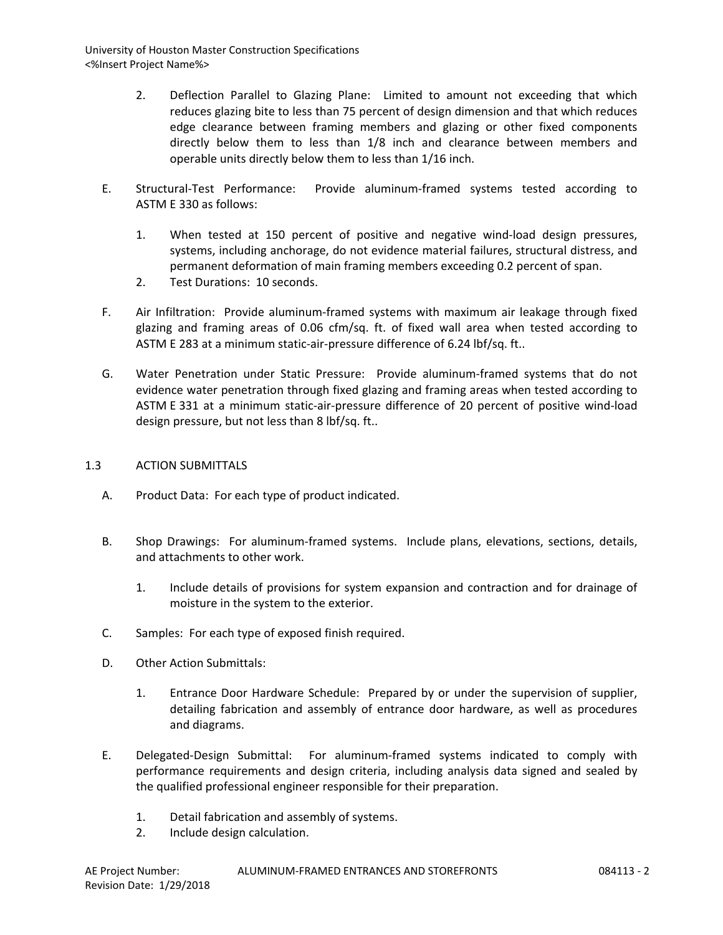- 2. Deflection Parallel to Glazing Plane: Limited to amount not exceeding that which reduces glazing bite to less than 75 percent of design dimension and that which reduces edge clearance between framing members and glazing or other fixed components directly below them to less than 1/8 inch and clearance between members and operable units directly below them to less than 1/16 inch.
- E. Structural-Test Performance: Provide aluminum-framed systems tested according to ASTM E 330 as follows:
	- 1. When tested at 150 percent of positive and negative wind-load design pressures, systems, including anchorage, do not evidence material failures, structural distress, and permanent deformation of main framing members exceeding 0.2 percent of span.
	- 2. Test Durations: 10 seconds.
- F. Air Infiltration: Provide aluminum-framed systems with maximum air leakage through fixed glazing and framing areas of 0.06 cfm/sq. ft. of fixed wall area when tested according to ASTM E 283 at a minimum static-air-pressure difference of 6.24 lbf/sq. ft..
- G. Water Penetration under Static Pressure: Provide aluminum-framed systems that do not evidence water penetration through fixed glazing and framing areas when tested according to ASTM E 331 at a minimum static-air-pressure difference of 20 percent of positive wind-load design pressure, but not less than 8 lbf/sq. ft..

#### 1.3 ACTION SUBMITTALS

- A. Product Data: For each type of product indicated.
- B. Shop Drawings: For aluminum-framed systems. Include plans, elevations, sections, details, and attachments to other work.
	- 1. Include details of provisions for system expansion and contraction and for drainage of moisture in the system to the exterior.
- C. Samples: For each type of exposed finish required.
- D. Other Action Submittals:
	- 1. Entrance Door Hardware Schedule: Prepared by or under the supervision of supplier, detailing fabrication and assembly of entrance door hardware, as well as procedures and diagrams.
- E. Delegated-Design Submittal: For aluminum-framed systems indicated to comply with performance requirements and design criteria, including analysis data signed and sealed by the qualified professional engineer responsible for their preparation.
	- 1. Detail fabrication and assembly of systems.
	- 2. Include design calculation.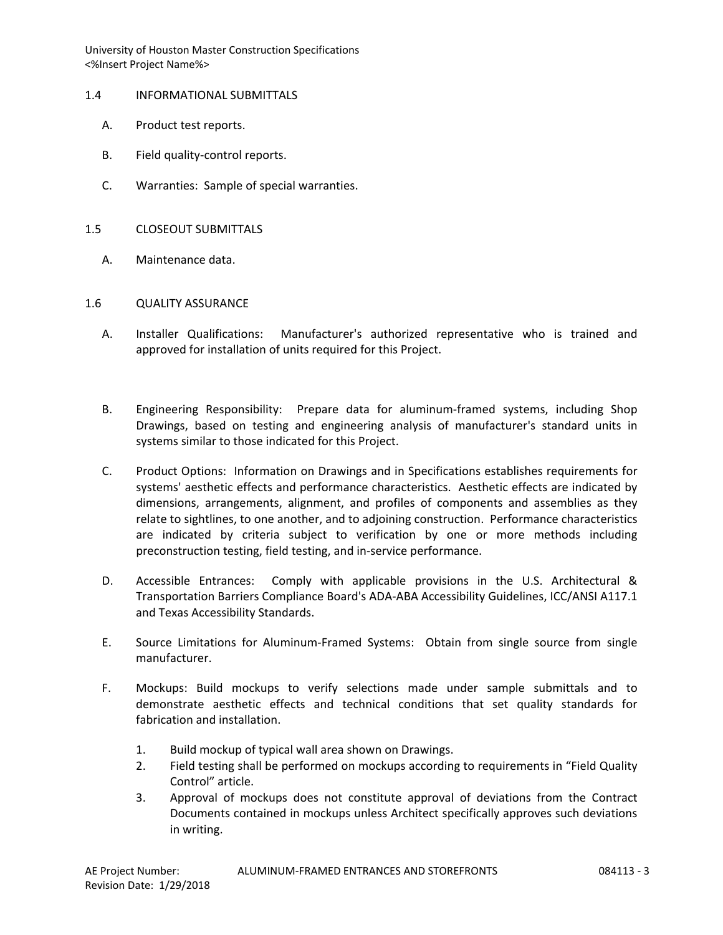- 1.4 INFORMATIONAL SUBMITTALS
	- A. Product test reports.
	- B. Field quality-control reports.
	- C. Warranties: Sample of special warranties.
- 1.5 CLOSEOUT SUBMITTALS
	- A. Maintenance data.

#### 1.6 QUALITY ASSURANCE

- A. Installer Qualifications: Manufacturer's authorized representative who is trained and approved for installation of units required for this Project.
- B. Engineering Responsibility: Prepare data for aluminum-framed systems, including Shop Drawings, based on testing and engineering analysis of manufacturer's standard units in systems similar to those indicated for this Project.
- C. Product Options: Information on Drawings and in Specifications establishes requirements for systems' aesthetic effects and performance characteristics. Aesthetic effects are indicated by dimensions, arrangements, alignment, and profiles of components and assemblies as they relate to sightlines, to one another, and to adjoining construction. Performance characteristics are indicated by criteria subject to verification by one or more methods including preconstruction testing, field testing, and in-service performance.
- D. Accessible Entrances: Comply with applicable provisions in the U.S. Architectural & Transportation Barriers Compliance Board's ADA-ABA Accessibility Guidelines, ICC/ANSI A117.1 and Texas Accessibility Standards.
- E. Source Limitations for Aluminum-Framed Systems: Obtain from single source from single manufacturer.
- F. Mockups: Build mockups to verify selections made under sample submittals and to demonstrate aesthetic effects and technical conditions that set quality standards for fabrication and installation.
	- 1. Build mockup of typical wall area shown on Drawings.
	- 2. Field testing shall be performed on mockups according to requirements in "Field Quality Control" article.
	- 3. Approval of mockups does not constitute approval of deviations from the Contract Documents contained in mockups unless Architect specifically approves such deviations in writing.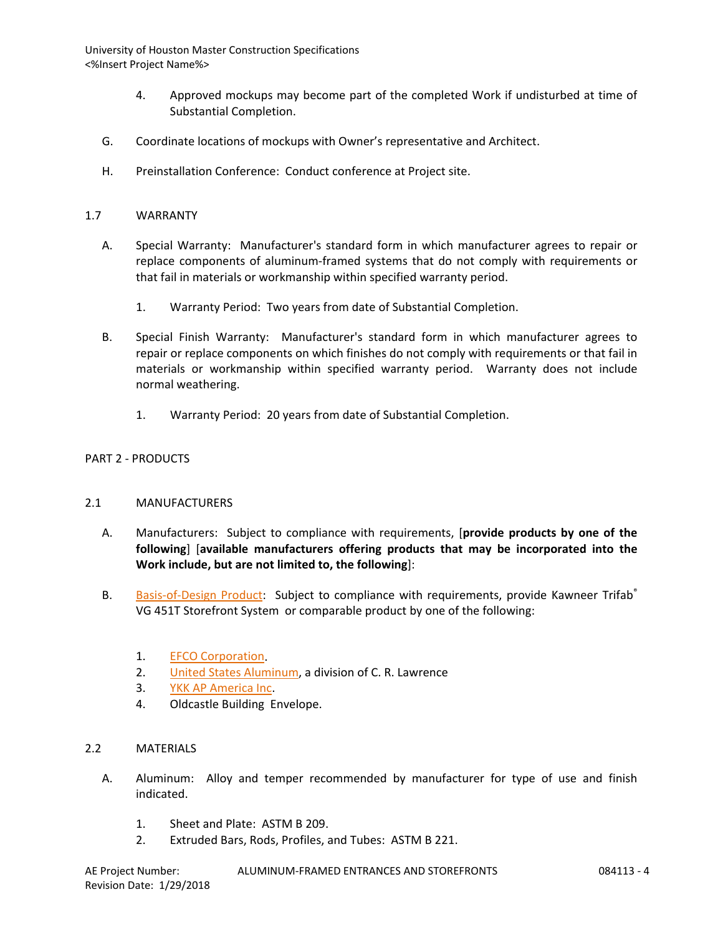- 4. Approved mockups may become part of the completed Work if undisturbed at time of Substantial Completion.
- G. Coordinate locations of mockups with Owner's representative and Architect.
- H. Preinstallation Conference: Conduct conference at Project site.

#### 1.7 WARRANTY

- A. Special Warranty: Manufacturer's standard form in which manufacturer agrees to repair or replace components of aluminum-framed systems that do not comply with requirements or that fail in materials or workmanship within specified warranty period.
	- 1. Warranty Period: Two years from date of Substantial Completion.
- B. Special Finish Warranty: Manufacturer's standard form in which manufacturer agrees to repair or replace components on which finishes do not comply with requirements or that fail in materials or workmanship within specified warranty period. Warranty does not include normal weathering.
	- 1. Warranty Period: 20 years from date of Substantial Completion.

#### PART 2 - PRODUCTS

#### 2.1 MANUFACTURERS

- A. Manufacturers: Subject to compliance with requirements, [**provide products by one of the following**] [**available manufacturers offering products that may be incorporated into the Work include, but are not limited to, the following**]:
- B. [Basis-of-Design Product:](http://www.specagent.com/LookUp/?ulid=455&mf=04&src=wd) Subject to compliance with requirements, provide Kawneer Trifab® VG 451T Storefront System or comparable product by one of the following:
	- 1. [EFCO Corporation.](http://www.specagent.com/LookUp/?uid=123456794874&mf=04&src=wd)
	- 2. United States Aluminum, a division of C. R. Lawrence
	- 3. [YKK AP America Inc.](http://www.specagent.com/LookUp/?uid=123456794893&mf=04&src=wd)
	- 4. Oldcastle Building Envelope.

#### 2.2 MATERIALS

- A. Aluminum: Alloy and temper recommended by manufacturer for type of use and finish indicated.
	- 1. Sheet and Plate: ASTM B 209.
	- 2. Extruded Bars, Rods, Profiles, and Tubes: ASTM B 221.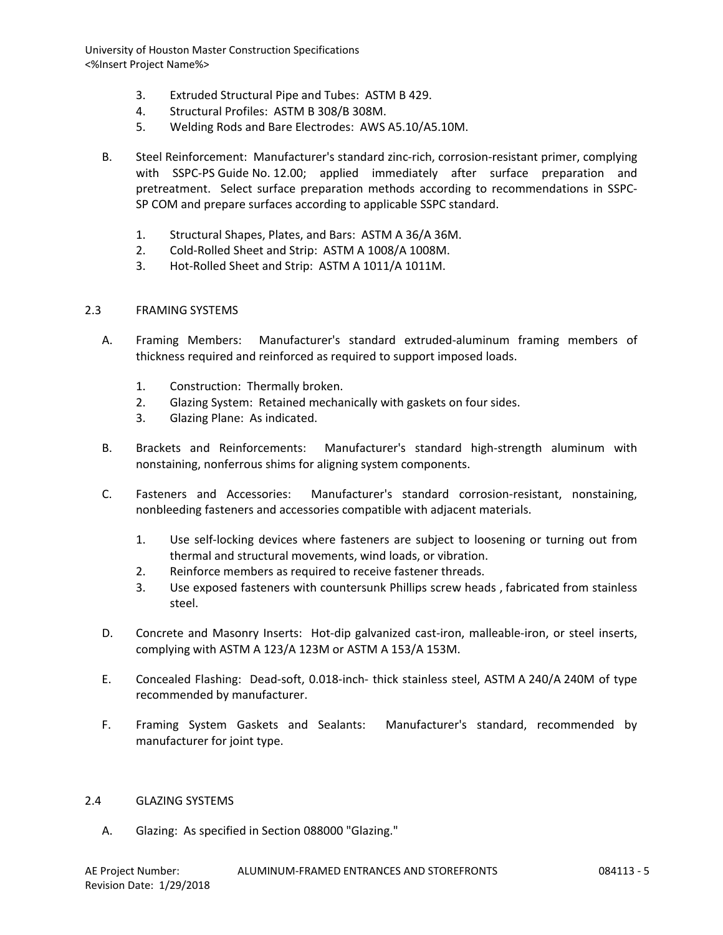- 3. Extruded Structural Pipe and Tubes: ASTM B 429.
- 4. Structural Profiles: ASTM B 308/B 308M.
- 5. Welding Rods and Bare Electrodes: AWS A5.10/A5.10M.
- B. Steel Reinforcement: Manufacturer's standard zinc-rich, corrosion-resistant primer, complying with SSPC-PS Guide No. 12.00; applied immediately after surface preparation and pretreatment. Select surface preparation methods according to recommendations in SSPC-SP COM and prepare surfaces according to applicable SSPC standard.
	- 1. Structural Shapes, Plates, and Bars: ASTM A 36/A 36M.
	- 2. Cold-Rolled Sheet and Strip: ASTM A 1008/A 1008M.
	- 3. Hot-Rolled Sheet and Strip: ASTM A 1011/A 1011M.

#### 2.3 FRAMING SYSTEMS

- A. Framing Members: Manufacturer's standard extruded-aluminum framing members of thickness required and reinforced as required to support imposed loads.
	- 1. Construction: Thermally broken.
	- 2. Glazing System: Retained mechanically with gaskets on four sides.
	- 3. Glazing Plane: As indicated.
- B. Brackets and Reinforcements: Manufacturer's standard high-strength aluminum with nonstaining, nonferrous shims for aligning system components.
- C. Fasteners and Accessories: Manufacturer's standard corrosion-resistant, nonstaining, nonbleeding fasteners and accessories compatible with adjacent materials.
	- 1. Use self-locking devices where fasteners are subject to loosening or turning out from thermal and structural movements, wind loads, or vibration.
	- 2. Reinforce members as required to receive fastener threads.
	- 3. Use exposed fasteners with countersunk Phillips screw heads , fabricated from stainless steel.
- D. Concrete and Masonry Inserts: Hot-dip galvanized cast-iron, malleable-iron, or steel inserts, complying with ASTM A 123/A 123M or ASTM A 153/A 153M.
- E. Concealed Flashing: Dead-soft, 0.018-inch- thick stainless steel, ASTM A 240/A 240M of type recommended by manufacturer.
- F. Framing System Gaskets and Sealants: Manufacturer's standard, recommended by manufacturer for joint type.

#### 2.4 GLAZING SYSTEMS

A. Glazing: As specified in Section 088000 "Glazing."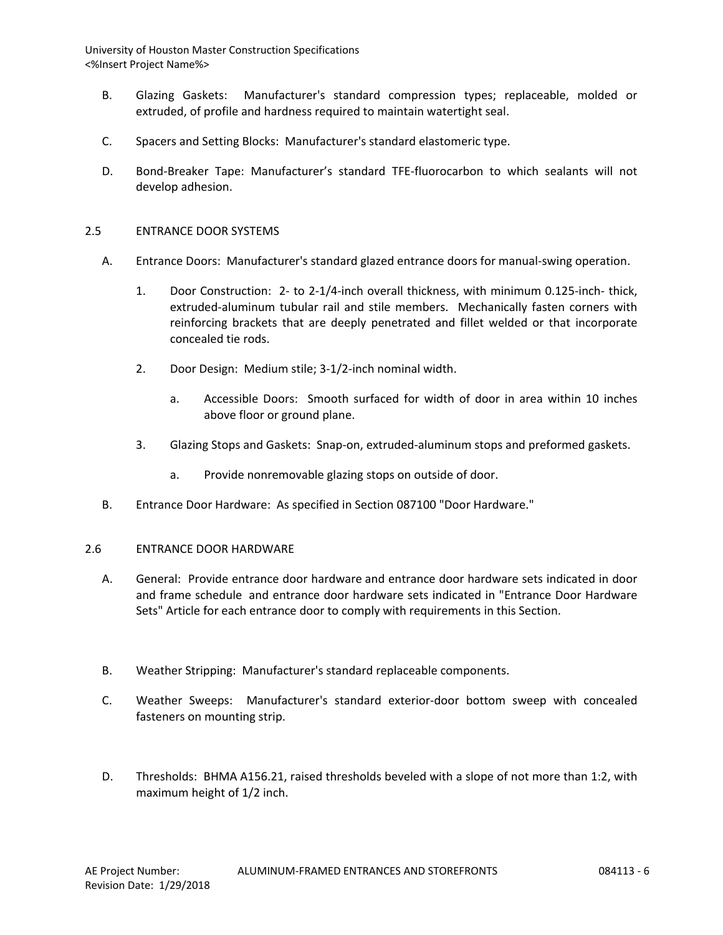- B. Glazing Gaskets: Manufacturer's standard compression types; replaceable, molded or extruded, of profile and hardness required to maintain watertight seal.
- C. Spacers and Setting Blocks: Manufacturer's standard elastomeric type.
- D. Bond-Breaker Tape: Manufacturer's standard TFE-fluorocarbon to which sealants will not develop adhesion.

#### 2.5 ENTRANCE DOOR SYSTEMS

- A. Entrance Doors: Manufacturer's standard glazed entrance doors for manual-swing operation.
	- 1. Door Construction: 2- to 2-1/4-inch overall thickness, with minimum 0.125-inch- thick, extruded-aluminum tubular rail and stile members. Mechanically fasten corners with reinforcing brackets that are deeply penetrated and fillet welded or that incorporate concealed tie rods.
	- 2. Door Design: Medium stile; 3-1/2-inch nominal width.
		- a. Accessible Doors: Smooth surfaced for width of door in area within 10 inches above floor or ground plane.
	- 3. Glazing Stops and Gaskets: Snap-on, extruded-aluminum stops and preformed gaskets.
		- a. Provide nonremovable glazing stops on outside of door.
- B. Entrance Door Hardware: As specified in Section 087100 "Door Hardware."

#### 2.6 ENTRANCE DOOR HARDWARE

- A. General: Provide entrance door hardware and entrance door hardware sets indicated in door and frame schedule and entrance door hardware sets indicated in "Entrance Door Hardware Sets" Article for each entrance door to comply with requirements in this Section.
- B. Weather Stripping: Manufacturer's standard replaceable components.
- C. Weather Sweeps: Manufacturer's standard exterior-door bottom sweep with concealed fasteners on mounting strip.
- D. Thresholds: BHMA A156.21, raised thresholds beveled with a slope of not more than 1:2, with maximum height of 1/2 inch.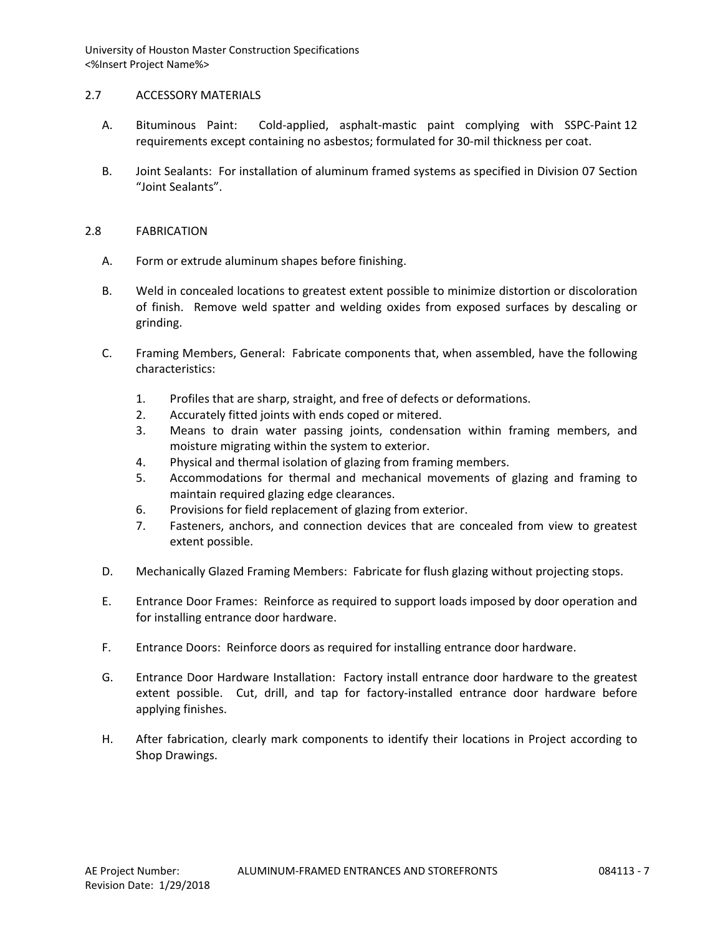## 2.7 ACCESSORY MATERIALS

- A. Bituminous Paint: Cold-applied, asphalt-mastic paint complying with SSPC-Paint 12 requirements except containing no asbestos; formulated for 30-mil thickness per coat.
- B. Joint Sealants: For installation of aluminum framed systems as specified in Division 07 Section "Joint Sealants".

## 2.8 FABRICATION

- A. Form or extrude aluminum shapes before finishing.
- B. Weld in concealed locations to greatest extent possible to minimize distortion or discoloration of finish. Remove weld spatter and welding oxides from exposed surfaces by descaling or grinding.
- C. Framing Members, General: Fabricate components that, when assembled, have the following characteristics:
	- 1. Profiles that are sharp, straight, and free of defects or deformations.
	- 2. Accurately fitted joints with ends coped or mitered.
	- 3. Means to drain water passing joints, condensation within framing members, and moisture migrating within the system to exterior.
	- 4. Physical and thermal isolation of glazing from framing members.
	- 5. Accommodations for thermal and mechanical movements of glazing and framing to maintain required glazing edge clearances.
	- 6. Provisions for field replacement of glazing from exterior.
	- 7. Fasteners, anchors, and connection devices that are concealed from view to greatest extent possible.
- D. Mechanically Glazed Framing Members: Fabricate for flush glazing without projecting stops.
- E. Entrance Door Frames: Reinforce as required to support loads imposed by door operation and for installing entrance door hardware.
- F. Entrance Doors: Reinforce doors as required for installing entrance door hardware.
- G. Entrance Door Hardware Installation: Factory install entrance door hardware to the greatest extent possible. Cut, drill, and tap for factory-installed entrance door hardware before applying finishes.
- H. After fabrication, clearly mark components to identify their locations in Project according to Shop Drawings.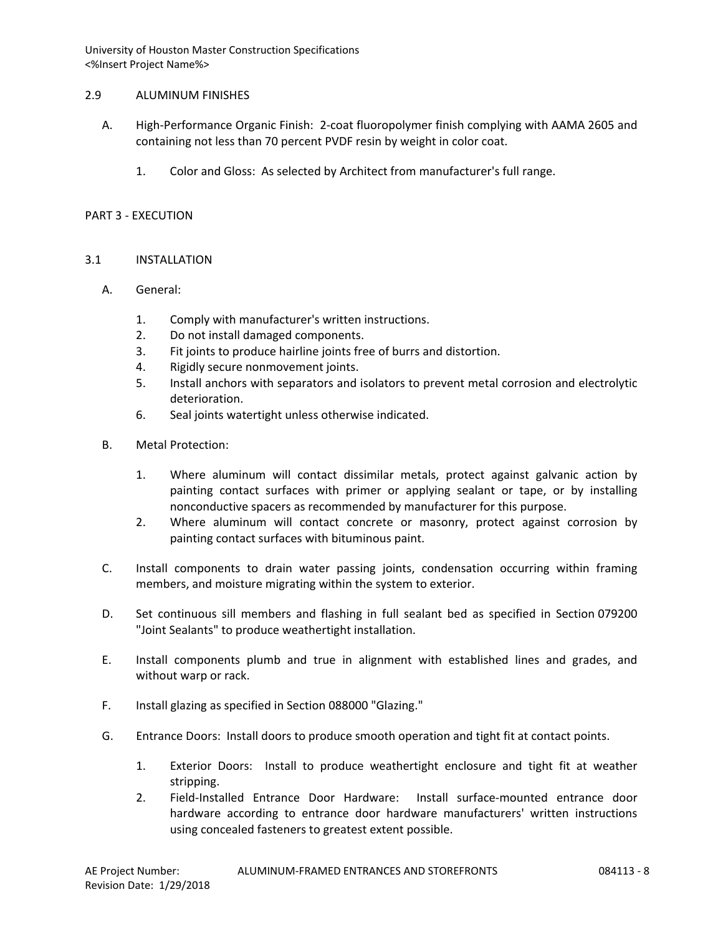### 2.9 ALUMINUM FINISHES

- A. High-Performance Organic Finish: 2-coat fluoropolymer finish complying with AAMA 2605 and containing not less than 70 percent PVDF resin by weight in color coat.
	- 1. Color and Gloss: As selected by Architect from manufacturer's full range.

### PART 3 - EXECUTION

## 3.1 INSTALLATION

- A. General:
	- 1. Comply with manufacturer's written instructions.
	- 2. Do not install damaged components.
	- 3. Fit joints to produce hairline joints free of burrs and distortion.
	- 4. Rigidly secure nonmovement joints.
	- 5. Install anchors with separators and isolators to prevent metal corrosion and electrolytic deterioration.
	- 6. Seal joints watertight unless otherwise indicated.
- B. Metal Protection:
	- 1. Where aluminum will contact dissimilar metals, protect against galvanic action by painting contact surfaces with primer or applying sealant or tape, or by installing nonconductive spacers as recommended by manufacturer for this purpose.
	- 2. Where aluminum will contact concrete or masonry, protect against corrosion by painting contact surfaces with bituminous paint.
- C. Install components to drain water passing joints, condensation occurring within framing members, and moisture migrating within the system to exterior.
- D. Set continuous sill members and flashing in full sealant bed as specified in Section 079200 "Joint Sealants" to produce weathertight installation.
- E. Install components plumb and true in alignment with established lines and grades, and without warp or rack.
- F. Install glazing as specified in Section 088000 "Glazing."
- G. Entrance Doors: Install doors to produce smooth operation and tight fit at contact points.
	- 1. Exterior Doors: Install to produce weathertight enclosure and tight fit at weather stripping.
	- 2. Field-Installed Entrance Door Hardware: Install surface-mounted entrance door hardware according to entrance door hardware manufacturers' written instructions using concealed fasteners to greatest extent possible.